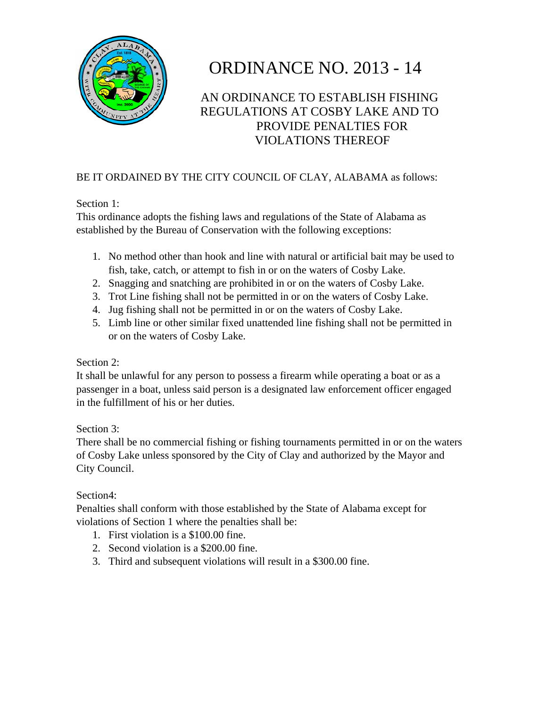

# ORDINANCE NO. 2013 - 14

# AN ORDINANCE TO ESTABLISH FISHING REGULATIONS AT COSBY LAKE AND TO PROVIDE PENALTIES FOR VIOLATIONS THEREOF

### BE IT ORDAINED BY THE CITY COUNCIL OF CLAY, ALABAMA as follows:

#### Section 1:

This ordinance adopts the fishing laws and regulations of the State of Alabama as established by the Bureau of Conservation with the following exceptions:

- 1. No method other than hook and line with natural or artificial bait may be used to fish, take, catch, or attempt to fish in or on the waters of Cosby Lake.
- 2. Snagging and snatching are prohibited in or on the waters of Cosby Lake.
- 3. Trot Line fishing shall not be permitted in or on the waters of Cosby Lake.
- 4. Jug fishing shall not be permitted in or on the waters of Cosby Lake.
- 5. Limb line or other similar fixed unattended line fishing shall not be permitted in or on the waters of Cosby Lake.

#### Section 2:

It shall be unlawful for any person to possess a firearm while operating a boat or as a passenger in a boat, unless said person is a designated law enforcement officer engaged in the fulfillment of his or her duties.

#### Section 3:

There shall be no commercial fishing or fishing tournaments permitted in or on the waters of Cosby Lake unless sponsored by the City of Clay and authorized by the Mayor and City Council.

#### Section4:

Penalties shall conform with those established by the State of Alabama except for violations of Section 1 where the penalties shall be:

- 1. First violation is a \$100.00 fine.
- 2. Second violation is a \$200.00 fine.
- 3. Third and subsequent violations will result in a \$300.00 fine.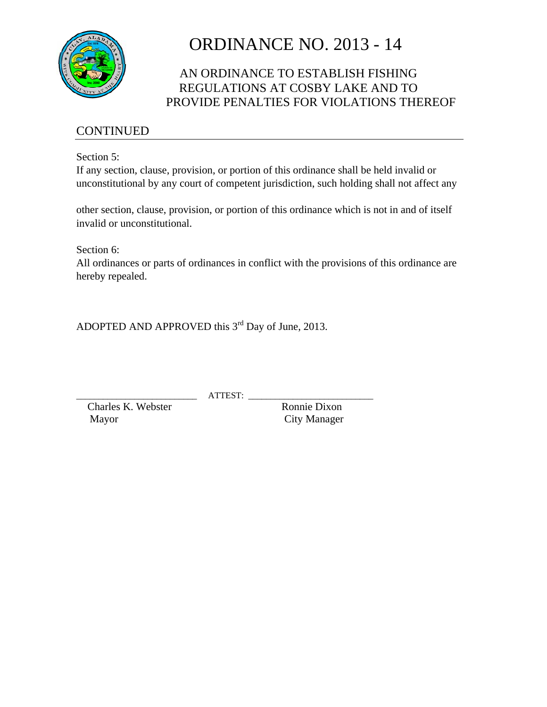

# ORDINANCE NO. 2013 - 14

## AN ORDINANCE TO ESTABLISH FISHING REGULATIONS AT COSBY LAKE AND TO PROVIDE PENALTIES FOR VIOLATIONS THEREOF

### CONTINUED

Section 5:

If any section, clause, provision, or portion of this ordinance shall be held invalid or unconstitutional by any court of competent jurisdiction, such holding shall not affect any

other section, clause, provision, or portion of this ordinance which is not in and of itself invalid or unconstitutional.

Section 6:

All ordinances or parts of ordinances in conflict with the provisions of this ordinance are hereby repealed.

ADOPTED AND APPROVED this 3<sup>rd</sup> Day of June, 2013.

 $ATTEST:$ 

Charles K. Webster Ronnie Dixon Mayor City Manager